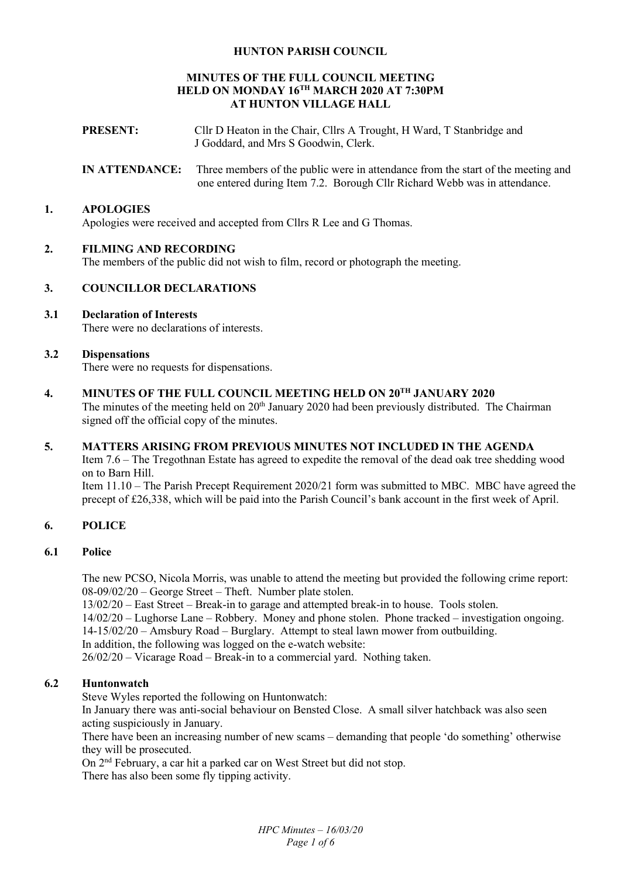## **HUNTON PARISH COUNCIL**

## **MINUTES OF THE FULL COUNCIL MEETING HELD ON MONDAY 16TH MARCH 2020 AT 7:30PM AT HUNTON VILLAGE HALL**

- **PRESENT:** Cllr D Heaton in the Chair, Cllrs A Trought, H Ward, T Stanbridge and J Goddard, and Mrs S Goodwin, Clerk.
- **IN ATTENDANCE:** Three members of the public were in attendance from the start of the meeting and one entered during Item 7.2. Borough Cllr Richard Webb was in attendance.

#### **1. APOLOGIES**

Apologies were received and accepted from Cllrs R Lee and G Thomas.

#### **2. FILMING AND RECORDING**

The members of the public did not wish to film, record or photograph the meeting.

### **3. COUNCILLOR DECLARATIONS**

## **3.1 Declaration of Interests**

There were no declarations of interests.

#### **3.2 Dispensations**

There were no requests for dispensations.

**4. MINUTES OF THE FULL COUNCIL MEETING HELD ON 20TH JANUARY 2020** 

The minutes of the meeting held on 20<sup>th</sup> January 2020 had been previously distributed. The Chairman signed off the official copy of the minutes.

#### **5. MATTERS ARISING FROM PREVIOUS MINUTES NOT INCLUDED IN THE AGENDA**

Item 7.6 – The Tregothnan Estate has agreed to expedite the removal of the dead oak tree shedding wood on to Barn Hill.

Item 11.10 – The Parish Precept Requirement 2020/21 form was submitted to MBC. MBC have agreed the precept of £26,338, which will be paid into the Parish Council's bank account in the first week of April.

## **6. POLICE**

#### **6.1 Police**

The new PCSO, Nicola Morris, was unable to attend the meeting but provided the following crime report: 08-09/02/20 – George Street – Theft. Number plate stolen.

13/02/20 – East Street – Break-in to garage and attempted break-in to house. Tools stolen.

14/02/20 – Lughorse Lane – Robbery. Money and phone stolen. Phone tracked – investigation ongoing. 14-15/02/20 – Amsbury Road – Burglary. Attempt to steal lawn mower from outbuilding.

In addition, the following was logged on the e-watch website:

26/02/20 – Vicarage Road – Break-in to a commercial yard. Nothing taken.

## **6.2 Huntonwatch**

Steve Wyles reported the following on Huntonwatch:

In January there was anti-social behaviour on Bensted Close. A small silver hatchback was also seen acting suspiciously in January.

There have been an increasing number of new scams – demanding that people 'do something' otherwise they will be prosecuted.

On 2nd February, a car hit a parked car on West Street but did not stop. There has also been some fly tipping activity.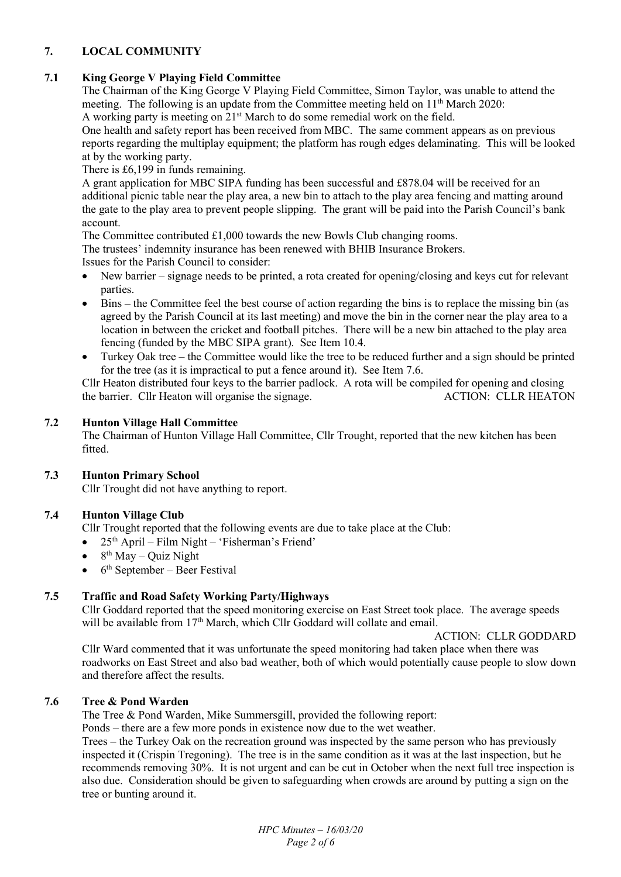## **7. LOCAL COMMUNITY**

# **7.1 King George V Playing Field Committee**

The Chairman of the King George V Playing Field Committee, Simon Taylor, was unable to attend the meeting. The following is an update from the Committee meeting held on  $11<sup>th</sup>$  March 2020:

A working party is meeting on 21<sup>st</sup> March to do some remedial work on the field.

One health and safety report has been received from MBC. The same comment appears as on previous reports regarding the multiplay equipment; the platform has rough edges delaminating. This will be looked at by the working party.

There is £6,199 in funds remaining.

A grant application for MBC SIPA funding has been successful and £878.04 will be received for an additional picnic table near the play area, a new bin to attach to the play area fencing and matting around the gate to the play area to prevent people slipping. The grant will be paid into the Parish Council's bank account.

The Committee contributed £1,000 towards the new Bowls Club changing rooms.

The trustees' indemnity insurance has been renewed with BHIB Insurance Brokers.

Issues for the Parish Council to consider:

- New barrier signage needs to be printed, a rota created for opening/closing and keys cut for relevant parties.
- Bins the Committee feel the best course of action regarding the bins is to replace the missing bin (as agreed by the Parish Council at its last meeting) and move the bin in the corner near the play area to a location in between the cricket and football pitches. There will be a new bin attached to the play area fencing (funded by the MBC SIPA grant). See Item 10.4.
- Turkey Oak tree the Committee would like the tree to be reduced further and a sign should be printed for the tree (as it is impractical to put a fence around it). See Item 7.6.

Cllr Heaton distributed four keys to the barrier padlock. A rota will be compiled for opening and closing<br>the barrier. Cllr Heaton will organise the signage and accretion of ACTION: CLLR HEATON the barrier. Cllr Heaton will organise the signage.

## **7.2 Hunton Village Hall Committee**

The Chairman of Hunton Village Hall Committee, Cllr Trought, reported that the new kitchen has been fitted.

# **7.3 Hunton Primary School**

Cllr Trought did not have anything to report.

# **7.4 Hunton Village Club**

Cllr Trought reported that the following events are due to take place at the Club:

- $\bullet$  25<sup>th</sup> April Film Night 'Fisherman's Friend'
- $\bullet$  8<sup>th</sup> May Quiz Night
- $\bullet$  6<sup>th</sup> September Beer Festival

# **7.5 Traffic and Road Safety Working Party/Highways**

Cllr Goddard reported that the speed monitoring exercise on East Street took place. The average speeds will be available from  $17<sup>th</sup>$  March, which Cllr Goddard will collate and email.

## ACTION: CLLR GODDARD

Cllr Ward commented that it was unfortunate the speed monitoring had taken place when there was roadworks on East Street and also bad weather, both of which would potentially cause people to slow down and therefore affect the results.

# **7.6 Tree & Pond Warden**

The Tree & Pond Warden, Mike Summersgill, provided the following report:

Ponds – there are a few more ponds in existence now due to the wet weather.

Trees – the Turkey Oak on the recreation ground was inspected by the same person who has previously inspected it (Crispin Tregoning). The tree is in the same condition as it was at the last inspection, but he recommends removing 30%. It is not urgent and can be cut in October when the next full tree inspection is also due. Consideration should be given to safeguarding when crowds are around by putting a sign on the tree or bunting around it.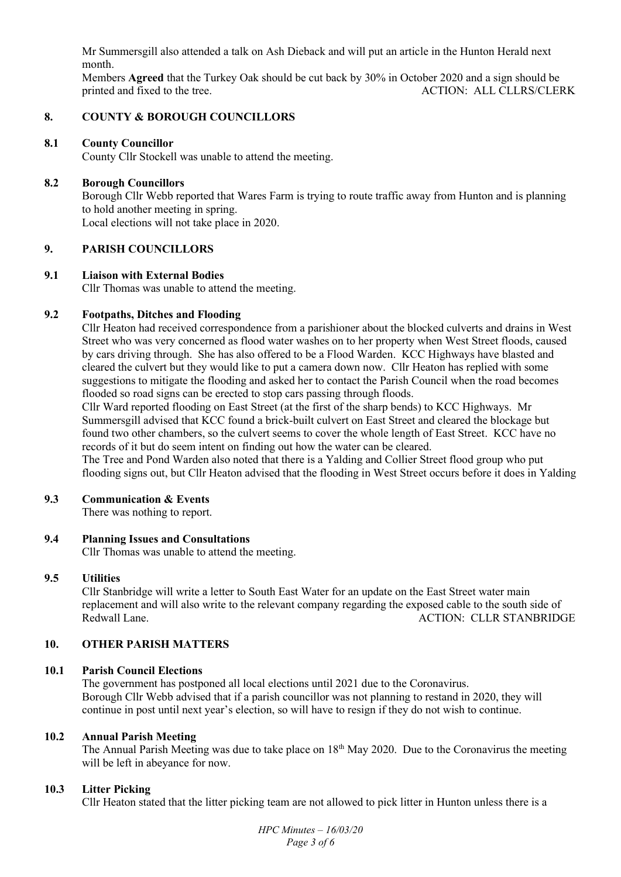Mr Summersgill also attended a talk on Ash Dieback and will put an article in the Hunton Herald next month.

Members **Agreed** that the Turkey Oak should be cut back by 30% in October 2020 and a sign should be printed and fixed to the tree. ACTION: ALL CLLRS/CLERK

#### **8. COUNTY & BOROUGH COUNCILLORS**

## **8.1 County Councillor**

County Cllr Stockell was unable to attend the meeting.

#### **8.2 Borough Councillors**

Borough Cllr Webb reported that Wares Farm is trying to route traffic away from Hunton and is planning to hold another meeting in spring. Local elections will not take place in 2020.

#### **9. PARISH COUNCILLORS**

#### **9.1 Liaison with External Bodies**

Cllr Thomas was unable to attend the meeting.

#### **9.2 Footpaths, Ditches and Flooding**

Cllr Heaton had received correspondence from a parishioner about the blocked culverts and drains in West Street who was very concerned as flood water washes on to her property when West Street floods, caused by cars driving through. She has also offered to be a Flood Warden. KCC Highways have blasted and cleared the culvert but they would like to put a camera down now. Cllr Heaton has replied with some suggestions to mitigate the flooding and asked her to contact the Parish Council when the road becomes flooded so road signs can be erected to stop cars passing through floods.

Cllr Ward reported flooding on East Street (at the first of the sharp bends) to KCC Highways. Mr Summersgill advised that KCC found a brick-built culvert on East Street and cleared the blockage but found two other chambers, so the culvert seems to cover the whole length of East Street. KCC have no records of it but do seem intent on finding out how the water can be cleared.

The Tree and Pond Warden also noted that there is a Yalding and Collier Street flood group who put flooding signs out, but Cllr Heaton advised that the flooding in West Street occurs before it does in Yalding

#### **9.3 Communication & Events**

There was nothing to report.

#### **9.4 Planning Issues and Consultations**

Cllr Thomas was unable to attend the meeting.

#### **9.5 Utilities**

Cllr Stanbridge will write a letter to South East Water for an update on the East Street water main replacement and will also write to the relevant company regarding the exposed cable to the south side of Redwall Lane. ACTION: CLLR STANBRIDGE

## **10. OTHER PARISH MATTERS**

#### **10.1 Parish Council Elections**

The government has postponed all local elections until 2021 due to the Coronavirus. Borough Cllr Webb advised that if a parish councillor was not planning to restand in 2020, they will continue in post until next year's election, so will have to resign if they do not wish to continue.

## **10.2 Annual Parish Meeting**

The Annual Parish Meeting was due to take place on 18<sup>th</sup> May 2020. Due to the Coronavirus the meeting will be left in abeyance for now.

#### **10.3 Litter Picking**

Cllr Heaton stated that the litter picking team are not allowed to pick litter in Hunton unless there is a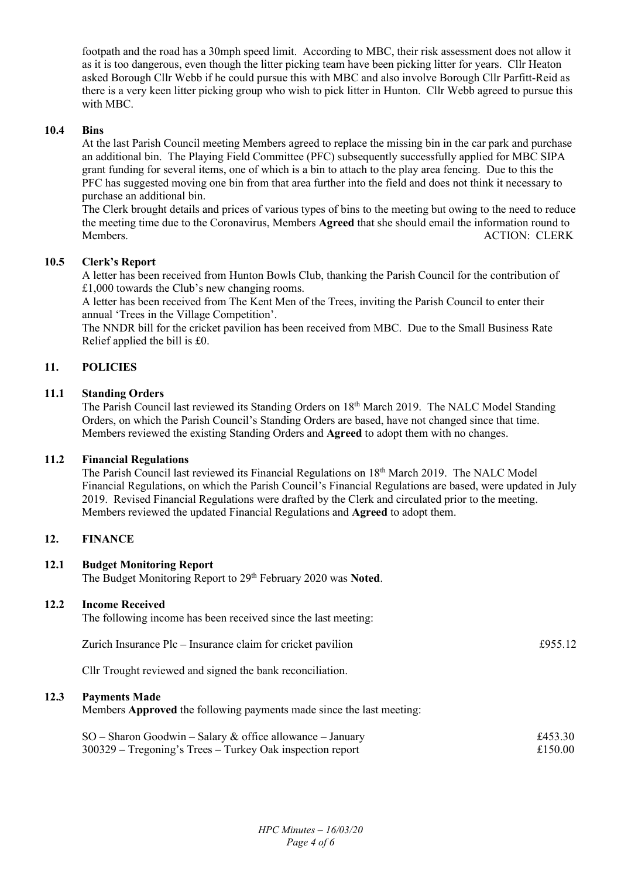footpath and the road has a 30mph speed limit. According to MBC, their risk assessment does not allow it as it is too dangerous, even though the litter picking team have been picking litter for years. Cllr Heaton asked Borough Cllr Webb if he could pursue this with MBC and also involve Borough Cllr Parfitt-Reid as there is a very keen litter picking group who wish to pick litter in Hunton. Cllr Webb agreed to pursue this with MBC.

## **10.4 Bins**

At the last Parish Council meeting Members agreed to replace the missing bin in the car park and purchase an additional bin. The Playing Field Committee (PFC) subsequently successfully applied for MBC SIPA grant funding for several items, one of which is a bin to attach to the play area fencing. Due to this the PFC has suggested moving one bin from that area further into the field and does not think it necessary to purchase an additional bin.

The Clerk brought details and prices of various types of bins to the meeting but owing to the need to reduce the meeting time due to the Coronavirus, Members **Agreed** that she should email the information round to Members. ACTION: CLERK

## **10.5 Clerk's Report**

A letter has been received from Hunton Bowls Club, thanking the Parish Council for the contribution of £1,000 towards the Club's new changing rooms.

A letter has been received from The Kent Men of the Trees, inviting the Parish Council to enter their annual 'Trees in the Village Competition'.

The NNDR bill for the cricket pavilion has been received from MBC. Due to the Small Business Rate Relief applied the bill is £0.

## **11. POLICIES**

## **11.1 Standing Orders**

The Parish Council last reviewed its Standing Orders on 18<sup>th</sup> March 2019. The NALC Model Standing Orders, on which the Parish Council's Standing Orders are based, have not changed since that time. Members reviewed the existing Standing Orders and **Agreed** to adopt them with no changes.

#### **11.2 Financial Regulations**

The Parish Council last reviewed its Financial Regulations on 18<sup>th</sup> March 2019. The NALC Model Financial Regulations, on which the Parish Council's Financial Regulations are based, were updated in July 2019. Revised Financial Regulations were drafted by the Clerk and circulated prior to the meeting. Members reviewed the updated Financial Regulations and **Agreed** to adopt them.

#### **12. FINANCE**

**12.3** 

#### **12.1 Budget Monitoring Report**

The Budget Monitoring Report to 29th February 2020 was **Noted**.

## **12.2 Income Received**

| The following income has been received since the last meeting:                               |         |
|----------------------------------------------------------------------------------------------|---------|
| Zurich Insurance Plc – Insurance claim for cricket pavilion                                  | £955.12 |
| Cllr Trought reviewed and signed the bank reconciliation.                                    |         |
| <b>Payments Made</b><br>Members Approved the following payments made since the last meeting: |         |
|                                                                                              |         |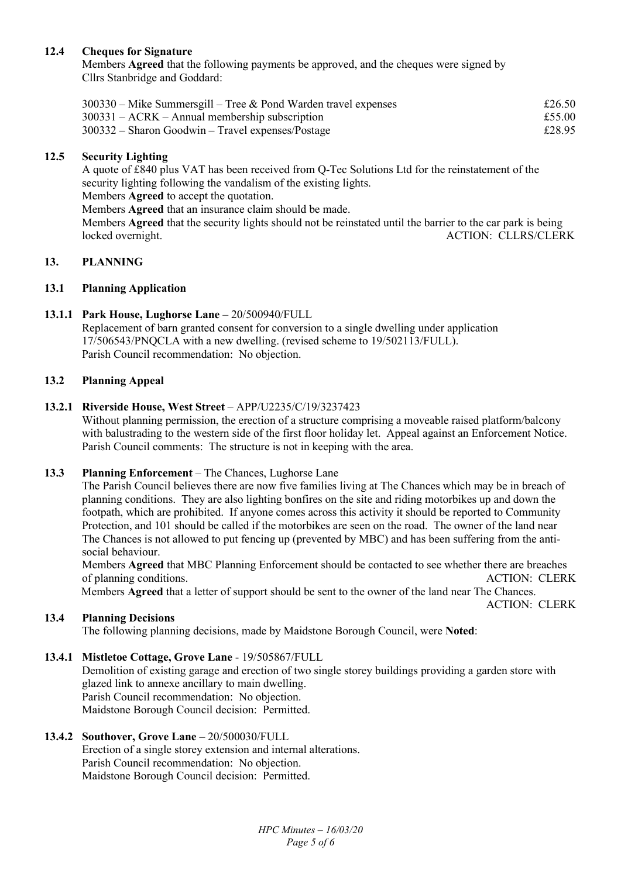## **12.4 Cheques for Signature**

Members **Agreed** that the following payments be approved, and the cheques were signed by Cllrs Stanbridge and Goddard:

| $300330$ – Mike Summersgill – Tree & Pond Warden travel expenses | £26.50 |
|------------------------------------------------------------------|--------|
| $300331 - ACRK - Annual membership$ subscription                 | £55.00 |
| $300332$ – Sharon Goodwin – Travel expenses/Postage              | £28.95 |

## **12.5 Security Lighting**

A quote of £840 plus VAT has been received from Q-Tec Solutions Ltd for the reinstatement of the security lighting following the vandalism of the existing lights. Members **Agreed** to accept the quotation.

Members **Agreed** that an insurance claim should be made.

Members **Agreed** that the security lights should not be reinstated until the barrier to the car park is being locked overnight. ACTION: CLLRS/CLERK

## **13. PLANNING**

## **13.1 Planning Application**

## **13.1.1 Park House, Lughorse Lane** – 20/500940/FULL

Replacement of barn granted consent for conversion to a single dwelling under application 17/506543/PNQCLA with a new dwelling. (revised scheme to 19/502113/FULL). Parish Council recommendation: No objection.

## **13.2 Planning Appeal**

## **13.2.1 Riverside House, West Street** – APP/U2235/C/19/3237423

Without planning permission, the erection of a structure comprising a moveable raised platform/balcony with balustrading to the western side of the first floor holiday let. Appeal against an Enforcement Notice. Parish Council comments: The structure is not in keeping with the area.

#### **13.3 Planning Enforcement** – The Chances, Lughorse Lane

 The Parish Council believes there are now five families living at The Chances which may be in breach of planning conditions. They are also lighting bonfires on the site and riding motorbikes up and down the footpath, which are prohibited. If anyone comes across this activity it should be reported to Community Protection, and 101 should be called if the motorbikes are seen on the road. The owner of the land near The Chances is not allowed to put fencing up (prevented by MBC) and has been suffering from the antisocial behaviour.

 Members **Agreed** that MBC Planning Enforcement should be contacted to see whether there are breaches of planning conditions. ACTION: CLERK Members **Agreed** that a letter of support should be sent to the owner of the land near The Chances.

ACTION: CLERK

#### **13.4 Planning Decisions**

The following planning decisions, made by Maidstone Borough Council, were **Noted**:

## **13.4.1 Mistletoe Cottage, Grove Lane** - 19/505867/FULL

Demolition of existing garage and erection of two single storey buildings providing a garden store with glazed link to annexe ancillary to main dwelling. Parish Council recommendation: No objection. Maidstone Borough Council decision: Permitted.

#### **13.4.2 Southover, Grove Lane** – 20/500030/FULL

Erection of a single storey extension and internal alterations. Parish Council recommendation: No objection. Maidstone Borough Council decision: Permitted.